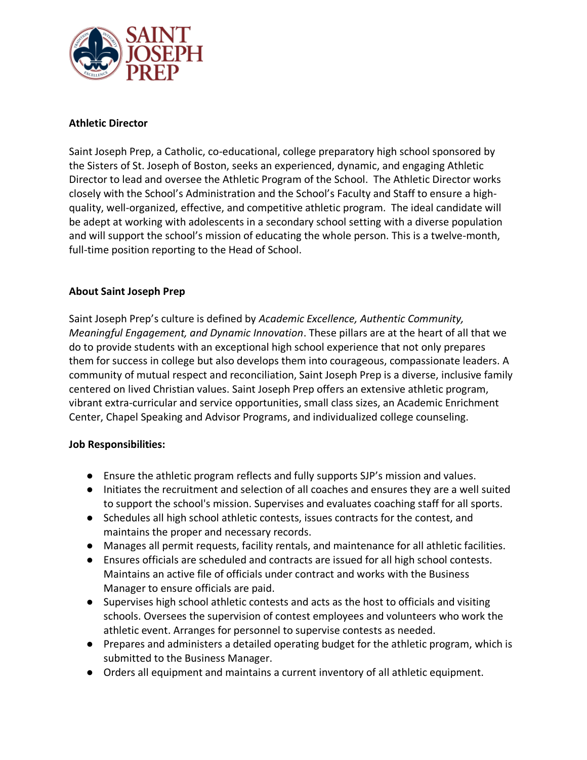

## **Athletic Director**

Saint Joseph Prep, a Catholic, co-educational, college preparatory high school sponsored by the Sisters of St. Joseph of Boston, seeks an experienced, dynamic, and engaging Athletic Director to lead and oversee the Athletic Program of the School. The Athletic Director works closely with the School's Administration and the School's Faculty and Staff to ensure a highquality, well-organized, effective, and competitive athletic program. The ideal candidate will be adept at working with adolescents in a secondary school setting with a diverse population and will support the school's mission of educating the whole person. This is a twelve-month, full-time position reporting to the Head of School.

## **About Saint Joseph Prep**

Saint Joseph Prep's culture is defined by *Academic Excellence, Authentic Community, Meaningful Engagement, and Dynamic Innovation*. These pillars are at the heart of all that we do to provide students with an exceptional high school experience that not only prepares them for success in college but also develops them into courageous, compassionate leaders. A community of mutual respect and reconciliation, Saint Joseph Prep is a diverse, inclusive family centered on lived Christian values. Saint Joseph Prep offers an extensive athletic program, vibrant extra-curricular and service opportunities, small class sizes, an Academic Enrichment Center, Chapel Speaking and Advisor Programs, and individualized college counseling.

## **Job Responsibilities:**

- Ensure the athletic program reflects and fully supports SJP's mission and values.
- Initiates the recruitment and selection of all coaches and ensures they are a well suited to support the school's mission. Supervises and evaluates coaching staff for all sports.
- Schedules all high school athletic contests, issues contracts for the contest, and maintains the proper and necessary records.
- Manages all permit requests, facility rentals, and maintenance for all athletic facilities.
- Ensures officials are scheduled and contracts are issued for all high school contests. Maintains an active file of officials under contract and works with the Business Manager to ensure officials are paid.
- Supervises high school athletic contests and acts as the host to officials and visiting schools. Oversees the supervision of contest employees and volunteers who work the athletic event. Arranges for personnel to supervise contests as needed.
- Prepares and administers a detailed operating budget for the athletic program, which is submitted to the Business Manager.
- Orders all equipment and maintains a current inventory of all athletic equipment.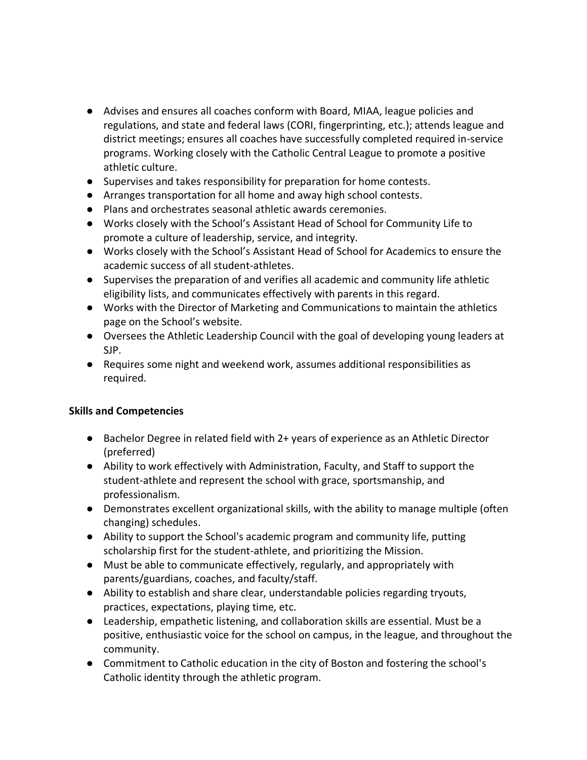- Advises and ensures all coaches conform with Board, MIAA, league policies and regulations, and state and federal laws (CORI, fingerprinting, etc.); attends league and district meetings; ensures all coaches have successfully completed required in-service programs. Working closely with the Catholic Central League to promote a positive athletic culture.
- Supervises and takes responsibility for preparation for home contests.
- Arranges transportation for all home and away high school contests.
- Plans and orchestrates seasonal athletic awards ceremonies.
- Works closely with the School's Assistant Head of School for Community Life to promote a culture of leadership, service, and integrity.
- Works closely with the School's Assistant Head of School for Academics to ensure the academic success of all student-athletes.
- Supervises the preparation of and verifies all academic and community life athletic eligibility lists, and communicates effectively with parents in this regard.
- Works with the Director of Marketing and Communications to maintain the athletics page on the School's website.
- Oversees the Athletic Leadership Council with the goal of developing young leaders at SJP.
- Requires some night and weekend work, assumes additional responsibilities as required.

## **Skills and Competencies**

- Bachelor Degree in related field with 2+ years of experience as an Athletic Director (preferred)
- Ability to work effectively with Administration, Faculty, and Staff to support the student-athlete and represent the school with grace, sportsmanship, and professionalism.
- Demonstrates excellent organizational skills, with the ability to manage multiple (often changing) schedules.
- Ability to support the School's academic program and community life, putting scholarship first for the student-athlete, and prioritizing the Mission.
- Must be able to communicate effectively, regularly, and appropriately with parents/guardians, coaches, and faculty/staff.
- Ability to establish and share clear, understandable policies regarding tryouts, practices, expectations, playing time, etc.
- Leadership, empathetic listening, and collaboration skills are essential. Must be a positive, enthusiastic voice for the school on campus, in the league, and throughout the community.
- Commitment to Catholic education in the city of Boston and fostering the school's Catholic identity through the athletic program.